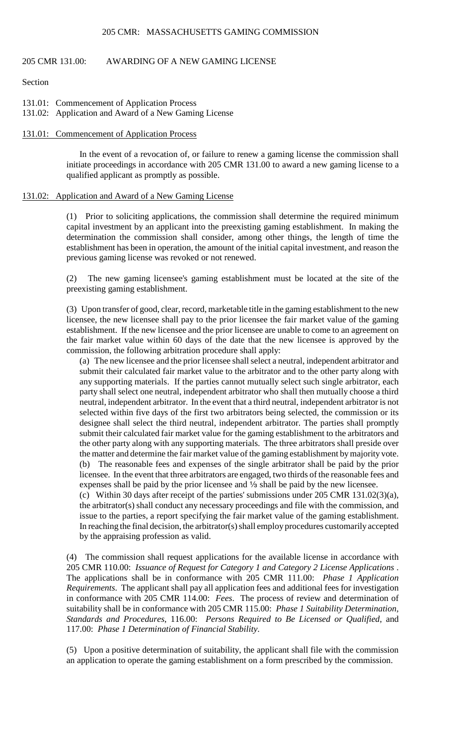#### 205 CMR: MASSACHUSETTS GAMING COMMISSION

# 205 CMR 131.00: AWARDING OF A NEW GAMING LICENSE

### Section

- 131.01: Commencement of Application Process
- 131.02: Application and Award of a New Gaming License

#### 131.01: Commencement of Application Process

In the event of a revocation of, or failure to renew a gaming license the commission shall initiate proceedings in accordance with 205 CMR 131.00 to award a new gaming license to a qualified applicant as promptly as possible.

### 131.02: Application and Award of a New Gaming License

 (1) Prior to soliciting applications, the commission shall determine the required minimum capital investment by an applicant into the preexisting gaming establishment. In making the determination the commission shall consider, among other things, the length of time the establishment has been in operation, the amount of the initial capital investment, and reason the previous gaming license was revoked or not renewed.

(2) The new gaming licensee's gaming establishment must be located at the site of the preexisting gaming establishment.

(3) Upon transfer of good, clear, record, marketable title in the gaming establishment to the new licensee, the new licensee shall pay to the prior licensee the fair market value of the gaming establishment. If the new licensee and the prior licensee are unable to come to an agreement on the fair market value within 60 days of the date that the new licensee is approved by the commission, the following arbitration procedure shall apply:

 any supporting materials. If the parties cannot mutually select such single arbitrator, each the other party along with any supporting materials. The three arbitrators shall preside over (b) The reasonable fees and expenses of the single arbitrator shall be paid by the prior (a) The new licensee and the prior licensee shall select a neutral, independent arbitrator and submit their calculated fair market value to the arbitrator and to the other party along with party shall select one neutral, independent arbitrator who shall then mutually choose a third neutral, independent arbitrator. In the event that a third neutral, independent arbitrator is not selected within five days of the first two arbitrators being selected, the commission or its designee shall select the third neutral, independent arbitrator. The parties shall promptly submit their calculated fair market value for the gaming establishment to the arbitrators and the matter and determine the fair market value of the gaming establishment by majority vote. licensee. In the event that three arbitrators are engaged, two thirds of the reasonable fees and expenses shall be paid by the prior licensee and  $\frac{1}{3}$  shall be paid by the new licensee. (c) Within 30 days after receipt of the parties' submissions under 205 CMR 131.02(3)(a), the arbitrator(s) shall conduct any necessary proceedings and file with the commission, and issue to the parties, a report specifying the fair market value of the gaming establishment.

In reaching the final decision, the arbitrator(s) shall employ procedures customarily accepted

by the appraising profession as valid. (4) The commission shall request applications for the available license in accordance with 205 CMR 110.00: *Issuance of Request for Category 1 and Category 2 License Applications* . The applications shall be in conformance with 205 CMR 111.00: *Phase 1 Application Requirements*. The applicant shall pay all application fees and additional fees for investigation in conformance with 205 CMR 114.00: *Fees*. The process of review and determination of suitability shall be in conformance with 205 CMR 115.00: *Phase 1 Suitability Determination, Standards and Procedures*, 116.00: *Persons Required to Be Licensed or Qualified*, and 117.00: *Phase 1 Determination of Financial Stability*.

(5) Upon a positive determination of suitability, the applicant shall file with the commission an application to operate the gaming establishment on a form prescribed by the commission.